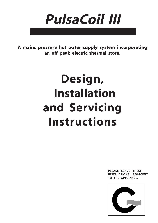

**A mains pressure hot water supply system incorporating an off peak electric thermal store.**

# **Design, Installation and Servicing Instructions**

**PLEASE LEAVE THESE INSTRUCTIONS ADJACENT TO THE APPLIANCE.**

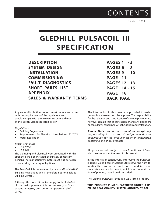**CONTENTS** 

Issue 6: 01/01

## **GLEDHILL PULSACOIL III SPECIFICATION**

**DESCRIPTION SYSTEM DESIGN INSTALLATION COMMISSIONING FAULT DIAGNOSTICS SHORT PARTS LIST APPENDIX SALES & WARRANTY TERMS** **PAGES 1 - 5 PAGES 6 - 8 PAGES 9 - 10 PAGE 11 PAGES 12 - 13 PAGE 14 - 15 PAGE 16 BACK PAGE**

Any water distribution systems must be in accordance with the requirements of the regulations and should comply with the relevant recommendations of the British Standards listed below:-

#### Regulations

- Building Regulations
- Requirements for Electrical Installations BS 7671
- Water Regulations

#### British Standards

- BS 6700 •
- BS 7671 •

The plumbing and electrical work associated with this appliance shall be installed by suitably competent persons.The manufacturer's notes must not be taken as over-riding statutory obligations.

The PulsaCoil III is not covered by section G3 of the1985 Building Regulations and is therefore not notifiable to Building Control.

Although the domestic water supply to the PulsaCoil III is at mains pressure, it is not necessary to fit an expansion vessel, pressure or temperature relief valve.

The information in this manual is provided to assist generally in the selection of equipment. The responsibility for the selection and specification of our equipment must however remain that of our customer and any designers or consultants concerned with the design and installation.

**Please Note:** We do not therefore accept any responsibility for matters of design, selection or specification for the effectiveness of an installation containing one of our products.

All goods are sold subject to our Conditions of Sale, which are set out at the rear of this manual.

In the interest of continuously improving the PulsaCoil III range, Gledhill Water Storage Ltd reserve the right to modify the product without notice, and in these circumstances this document, which is accurate at the time of printing, should be disregarded.

The Gledhill PulsaCoil range is a WBS listed product.

#### **THIS PRODUCT IS MANUFACTURED UNDER A BS EN ISO 9002 QUALITY SYSTEM AUDITED BY BSI.**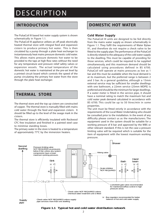### **INTRODUCTION**

The PulsaCoil III based hot water supply system is shown schematically in Figure 1.1.

The PulsaCoil III appliance utilizes an off peak electrically heated thermal store with integral feed and expansion cistern to produce primary hot water. This is then circulated by a pump through a plate heat exchanger to instantaneously heat mains pressure domestic cold water. This allows mains pressure domestic hot water to be provided to the taps at high flow rates without the need for any temperature and pressure relief safety valves or expansion vessels. The actual temperature of the domestic hot water is maintained at the pre-set level by a printed circuit board which controls the speed of the pump circulating the primary hot water from the store through the plate heat exchanger.

## **THERMAL STORE**

The thermal store and the top up cistern are constructed of copper. The thermal store is manually filled with mains cold water through the feed and expansion cistern. It should be filled up to the level of the swage mark in the cistern.

The thermal store is efficiently insulated with Rockwool CFC free insulation and finished in a painted steel case to minimise standing losses.

The primary water in the store is heated to a temperature of approximately 77°C by the immersion heaters.

### **DOMESTIC HOT WATER**

#### **Cold Water Supply**

The PulsaCoil III units are designed to be fed directly from the mains water supply as shown schematically in Figure 1.1. They fulfil the requirements of Water Bylaw 91, and therefore do not require a check valve to be fitted to the supply pipe. The performance of the PulsaCoil is directly related to the adequacy of the cold water supply to the dwelling. This must be capable of providing for those services, which could be required to be supplied simultaneously, and this maximum demand should be calculated using procedures defined in BS 6700. PulsaCoil will operate at mains pressures as low as 1 bar and this must be available when the local demand is at its maximum, but the preferred range is between 2 and 3 bar. As a general guideline, although a 15mm external service may be sufficient for smaller dwellings with one bathroom, a 22mm service (25mm MDPE) is preferred and should be the minimum for larger dwellings. If a water meter is fitted in the service pipe, it should have a nominal rating to match the maximum hot and cold water peak demand calculated in accordance with BS 6700. This could be up to 50 litres/min in some properties.

The unit must be fitted strictly in accordance with the requirements of the Local Water Undertaking who should be consulted prior to the installation. In the event of any difficulty please contact us as the manufacturers. The equipment used in the system should be suitable for a working pressure of 8 bar and approved by the WBS or other relevant standard. If this is not the case a pressure limiting valve will be required which is suitable for the item of equipment with the lowest maximum working pressure.



**Figure 1.1 Typical hot and cold water distribution network**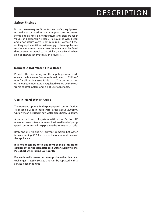### **Safety Fittings**

It is not necessary to fit control and safety equipment normally associated with mains pressure hot water storage appliances e.g. temperature and pressure relief valves and expansion vessel. PulsaCoil is WBS listed and a non-return valve is not required. However if the ancillary equipment fitted in the supply to these appliances require a non-return valve then the valve must be fitted directly after the branch to the drinking water i.e. a kitchen sink as shown schematically in Figure 1.1.

### **Domestic Hot Water Flow Rates**

Provided the pipe sizing and the supply pressure is adequate the hot water flow rate should be up to 35 litres/ min for all models (see Table 1.1). The domestic hot water outlet temperature is regulated to 55 $\degree$ C by the electronic control system and is not user adjustable.

### **Use in Hard Water Areas**

There are two options for the pump speed control. Option 'H' must be used in hard water areas above 200ppm. Option 'S' can be used in soft water areas below 200ppm.

A patented control system within the Option 'H' microprocessor offers a more sophisticated level of pump speed control and will help prevent the formation of scale.

Both options ('H' and 'S') prevent domestic hot water from exceeding 55°C for most of the operational times of the appliance.

**It is not necessary to fit any form of scale inhibiting equipment in the domestic cold water supply to the PulsaCoil when using option 'H'.**

If scale should however become a problem the plate heat exchanger is easily isolated and can be replaced with a service exchange unit.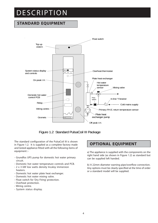## **STANDARD EQUIPMENT**





The standard configuration of the PulsaCoil III is shown in Figure 1.2. It is supplied as a complete factory made and tested appliance fitted with all the following items of equipment :-

- Grundfos UPS pump for domestic hot water primary circuit.
- Domestic hot water temperature controls and PCB.
- 2 x 3 kW low watts density Incaloy immersion heaters.
- Domestic hot water plate heat exchanger.
- Domestic hot water mixing valve.
- Float switch for 'Dry Firing' protection.
- Overheat protection.
- Wiring centre.
- System status display.

## **OPTIONAL EQUIPMENT**

a) The appliance is supplied with the components on the right hand side (as shown in Figure 1.2) as standard but can be supplied left handed.

b) A 22mm diameter warning pipe/overflow connection. Any options must be clearly specified at the time of order or a standard model will be supplied.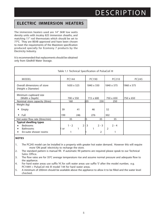## **ELECTRIC IMMERSION HEATERS**

The immersion heaters used are 14" 3kW low watts density units with incaloy 825 immersion sheaths, and matching 11" rod thermostats which should be set to 77°C. They are BEAB approved and have been chosen to meet the requirements of the Maxistore specification produced specially for Ecomony 7 products by the Electricity Industry.

It is recommended that replacements should be obtained only from Gledhill Water Storage.

| Table 1.1 Technical Specification of PulsaCoil III                                            |     |            |     |       |     |            |                           |     |            |              |
|-----------------------------------------------------------------------------------------------|-----|------------|-----|-------|-----|------------|---------------------------|-----|------------|--------------|
| <b>MODEL</b>                                                                                  |     | PC144      |     |       |     | PC190      |                           |     | PC210      | <b>PC245</b> |
| Overall dimensions of store<br>(Height x Diameter)                                            |     | 1650 x 525 |     |       |     | 1840 x 550 |                           |     | 1840 x 575 | 1960 x 575   |
| Minimum cupboard size<br>(Width x Depth)                                                      |     | 700 x 550  |     |       |     | 715 x 600  |                           |     | 750 x 650  | 750 x 650    |
| Nominal store capacity (litres)                                                               |     | 160        |     |       | 105 |            | 230                       |     | 250        |              |
| Weight (kg)                                                                                   |     |            |     |       |     |            |                           |     |            |              |
| Empty                                                                                         | 39  |            | 41  |       |     | 46         |                           | 52  |            |              |
| Full                                                                                          | 199 |            | 246 |       |     | 276        |                           | 302 |            |              |
| Hot water flow rate (litres/min)                                                              |     | 35         |     |       | 5   |            | 35                        |     | 35         |              |
| <b>Typical dwelling types</b><br><b>Bedrooms</b><br><b>Bathrooms</b><br>En-suite shower rooms | or  | $1 - 2$    |     | $2+3$ |     |            | $2 - 3$<br>$\overline{2}$ | 2   | $2 - 4$    |              |

#### **NOTES**

- 1. The PC245 model can be installed in a property with greater hot water demand. However this will require more 'ON peak' electricity to recharge the store.
- 2. The standard pattern is manual fill. If automatic fill patterns are required please speak to our Technical Sales Office.
- 3. The flow rates are for 35°C average temperature rise and assume normal pressure and adequate flow to the appliance.
- 4. For hard water areas use suffix 'H', for soft water areas use suffix 'S' after the model number, e.g. PC144H = PulsaCoil mk III model 144 for hard water areas.
- 5. A minimum of 200mm should be available above the appliance to allow it to be filled and the water level checked.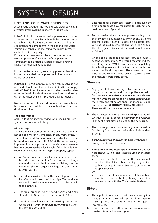## SYSTEM DESIGN

### **HOT AND COLD WATER SERVICES**

A schematic layout of the hot and cold water services in a typical small dwelling is shown in Figure 2.1.

PulsaCoil III will operate at mains pressures as low as 1 bar and as high as 8 bar although the preferred range is 2-3 bar. It is also important to check that all other equipment and components in the hot and cold water system are capable of accepting the mains pressure available to the property.

If the mains pressure can rise above the maximum working pressure of any items of equipment or component to be fitted a suitable pressure limiting (reducing) valve will be required.

For properties with a higher supply pressure than 8 bar it is recommended that a pressure limiting valve is fitted, set at 3 bar.

PulsaCoil III is WBS approved. A non-return valve is not required. Should ancillary equipment fitted in the supply to the PulsaCoil require a non-return valve, then this valve must be fitted directly after the branch to the drinking water tap (kitchen sink). See Figure 1.1 for details.

**Note:** The hot and cold water distribution pipework should be designed and installed to prevent heating of the cold distribution pipe.

#### **Taps and Valves**

Aerated taps are recommended for all mains pressure systems to prevent splashing.

#### **Pipe Sizing**

To achieve even distribution of the available supply of hot and cold water, it is important in any mains pressure system that the distribution pipes in a dwelling should be sized in accordance with BS6700. This is particularly important in a large property or one with more than one bathroom. However the following rule of thumb guide lines should be adequate for most typical property types:

- a) A 15mm copper or equivalent external service may be sufficient for smaller 1 bathroom dwellings (depending upon the flow rate available), but the minimum size for larger dwellings must be 22mm (25mm MDPE).
- b) The internal cold feed from the main stop tap to the PulsaCoil should be run in 22mm pipe. The hot drawoff should also be run in 22mm as far as the branch to the bath tap.
- c) The final branches to the hand basins and sinks should be in 10mm and to the shower in 15mm.
- d) The final branches to taps in existing properties, which are in 15mm, **should be restricted** to balance the flow to each outlet.
- e) Best results for a balanced system are achieved by fitting appropriate flow regulators to each hot and cold outlet (see Appendix 1).
- f) For properties where the inlet pressure is high and the flow rates may exceed 30 l/min at any bath hot tap the installer must fit a lockshield pattern gate valve at the cold inlet to the appliance. This should then be adjusted to restrict the maximum flow rate to 30 l/min.

On the odd occasion it is felt necessary to provide a secondary circulation. We would recommend the use of Raychem HWAT Plus or similar self regulating trace heating to maintain the temperature in the hot water distribution system. The system must be installed and commissioned fully in accordance with the manufacturers instructions.

### **Showers**

- a) Any type of shower mixing valve can be used as long as both the hot and cold supplies are mains fed. However **PRESSURE COMPENSATING** shower mixing valves are proven to give better control when more than one fitting are open simultaneously and are therefore **STRONGLY RECOMMENDED.** Thermostatic versions are preferable.
- b) The hot water supply to a shower mixing valve should, wherever practical, be fed directly from the PulsaCoil III or be the first draw-off point on the hot circuit.
- c) The cold supply to a shower mixing valve should be fed directly from the rising mains via an independent branch.
- d) **Fixed head type showers:** No back-syphonage arrangements are necessary.
- e) **Loose or flexible head type showers:** If a loose head shower with a flexible hose is used over a bath then: -
	- The hose must be fixed so that the head cannot fall closer than 25mm above the top edge of the bath as specified in Model Byelaw 16 of the Water Supply Byelaws.

Or

• The shower must incorporate or be fitted with an acceptable means of back-syphonage protection in accordance with the Model Water Byelaws.

#### **Bidets**

- a) The supply of hot and cold mains water directly to a bidet is permitted provided that it is of the over-rim flushing type and that a type 'A' air gap is incorporated.
- b) It must not include either an ascending spray or provision to attach a hand spray.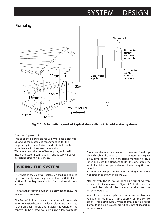## SYSTEM DESIGN



**Fig 2.1 Schematic layout of typical domestic hot & cold water systems.**

### **Plastic Pipework**

This appliance is suitable for use with plastic pipework as long as the material is recommended for the purpose by the manufacturer and is installed fully in accordance with their recommendations. We recommend the use of barrier pipe, which will mean the system can have BritishGas service cover in regions offering this service.

## **WIRING THE SYSTEM**

The whole of the electrical installation shall be designed by a competent person fully in accordance with the latest edition of the Requirements for Electrical Installations BS 7671.

However, the following guidance is provided to show the general principles involved.

The PulsaCoil III appliance is provided with two side entry immersion heaters. The lower element is connected to the off peak supply and enables the whole of the contents to be heated overnight using a low cost tariff.

The upper element is connected to the unrestricted supply and enables the upper part of the contents to be given a day time boost. This is switched manually or by a timer and uses the standard tariff. In some areas the local electricity company allows a limited day time off peak boost.

It is normal to supply the PulsaCoil III using an Ecomony 7 controller as shown in Figure 2.2.

Alternatively the PulsaCoil III can be supplied from separate circuits as shown in Figure 2.3. In this case the two switches should be clearly labelled for the householders use.

In addition to the supplies to the immersion heaters, PulsaCoil III requires a 3 amp supply for the control circuit. This 3 amp supply must be provided via a fused 3 amp double pole isolator providing 3mm of separation to both poles.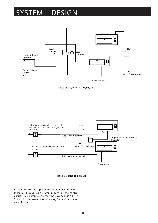## SYSTEM DESIGN









In addition to the supplies to the immersion heaters, PulsaCoil III requires a 3 amp supply for the control circuit. This 3 amp supply must be provided via a fused 3 amp double pole isolator providing 3mm of separation to both poles.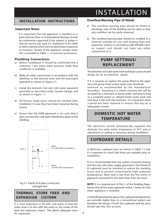### **INSTALLATION INSTRUCTIONS**

### **Important Notes**

 It is important that the appliance is installed on a level and even floor or if raised above the base should be continuosly supported. If the support is timber, it shal be marine ply, type C4 chipboard to B.S.5669 or other material which will not deteriorate if exposed to moisture. Details of the appliance wieght when full is provided in Table 1.1 of technical specifications.

### **Plumbing Connections**

- a) Before installation it should be confirmed that a mimimun 1 bar mains water pressure under flow conditions is available.
- b) Make all water connections in accordance with the labelling on the thermal store and the associated pipework as shown in Figure 3.1.
- c) Install the domestic hot and cold water pipework generally as described under System Design and as shown in Figure 1.1.
- d) All factory made joints should be checked after installation in case they have been loosened during transit.
- e) Ensure that the DHW pipework is run such that it does not heat the cold water distribution pipes in the dwelling.



#### Fig 3.1 PulsaCoil III pipe connection arrangement

### **THERMAL STORE FEED AND EXPANSION CISTERN**

It is most important to fill with cold water so that the water level is in line with the mark on the inside of the feed and expansion cistern. This allows adequate room for expansion.

### **Overflow/Warning Pipe (if fitted)**

- a) The overflow warning pipe should be fitted to discharge clear of the building and be sited so that any overflow can be easily observed.
- b) The overflow/warning pipe should be installed in a material suitable for use with heating feed and expansion cisterns in accordance with BS5449 (such as copper) and should not have any other connections to it.

## **PUMP SETTINGS/ REPLACEMENT**

The domestic hot water plate heat exchanger pump should always be set at maximum speed.

If it is necesary to replace the pump fitted to the appliance the pump head (motor pack) only should be removed as recommended by the manufacturer (Grundfos). Assuming it is within warranty this will be accepted by a merchant as being under warranty as long as a complete pump i.e. alleged faulty motor pack and new base is left with the merchant. It is important when a pump has been replaced to ensure that any air is adequately vented

## **DOMESTIC HOT WATER TEMPERATURE**

The electronic system automatically regulates the domestic hot water outlet temperature to 55°C and no adjustment or setting is necessary during installation.

## **CUPBOARD DETAILS**

a) Minimum cupboard sizes are shown in Table 1.1 and it is important to check that these are available prior to installation.

b) It is recommended that any surface mounted heating and hot and cold water supply pipework in the PulsaCoil III cupboard must be insulated to reduce the standing losses and to prevent unnecessarily high cupboard temperatures. More heat is lost from the first metre of pipework connected to the store than from the store.

**NOTE**: It is a requirement of Part L of the Building Regulations that all hot water pipework within 1 metre of a hot water appliance is insulated.

c) Notwithstanding the above, the cupboard temperatures are nomrally higher than in a conventional system and therefore the design of both the cupboard and the door should take this into account.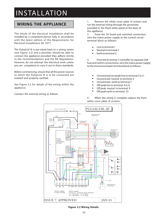## INSTALLATION

## **WIRING THE APPLIANCE**

The whole of the electrical installation shall be installed by a competent person fully in accordance with the latest edition of the Requirements for Electrical Installations BS 7671.

The PulsaCoil III is pre-wired back to a wiring centre (see Figure 3.2) and a plumber should be able to connect the appliance provided they adhere strictly to the recommendations and the IEE Regulations. However, do not attempt the electrical work unless you are competent to carry it out to these standards.

Before commencing, ensure that all the power sources to which the PulsaCoil III is to be connected are isolated and properly earthed.

See Figure 3.2 for details of the wiring within the appliance.

Connect the external wiring as follows

1. Remove the white cover plate (4 screws) and run the external wiring through the grommets provided in the fixed white panel at the base of the appliance.

2. From the 3A fused and switched connection, wire the mains power supply to the control circuit terminal block as follows:-

- Live to terminal 1 ...<br>●<br>●
- Neutral to terminal 2 . .<br>.<br>.
- Earth to terminal 3

3. From the Ecomony 7 controller (or separate 20A fuse and switch connections), wire the mains power supply to the immersion heater terminal block as follows:-

- Unrestricted (on peak) live to terminal 5 (L1) .
- Unrestricted neutral to terminal 6 . .
- Unrestricted earth to terminal 7 .
- Off peak live to terminal 8 (L2) .
- Off peak neutral to terminal 9 .<br>.<br>.
- Off peak earth to terminal 10

4. When the wiring is complete replace the front white cover plate (4 screws).



**Figure 3.2 Wiring Details**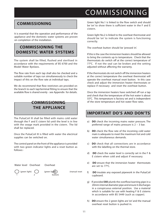## COMMISSIONING

## **COMMISSIONING**

It is essential that the operation and performance of the appliance and the domestic water systems are proven on completion of the installation.

## **COMMISSIONING THE DOMESTIC WATER SYSTEMS**

The system shall be filled, flushed and sterilised in accordance with the requirements of BS 6700 and the Model Water Byelaws.

The flow rate from each tap shall also be checked and a suitable number of taps run simultaneously to check the impact of this on the flow rate at individual taps.

We do recommend that flow restrictors are provided on the branch to each tap/terminal fitting to ensure that the available flow is shared evenly - see Appendix for details.

## **COMMISSIONING THE APPLIANCE**

The PulsaCoil III shall be filled with mains cold water through the F and E cistern lid until the level is in line with the swage mark provided in the cistern. The lid shall be replaced.

Once the PulsaCoil III is filled with water the electrical supplies can be switched on.

The control panel on the front of the appliance is provided with two green indicator lights and a reset button as follows:-



Green light No.1 is linked to the flow switch and should be 'on' to show there is sufficient water in the F and E cistern.

Green light No.2 is linked to the overheat thermostat and should be 'on' to indicate the system is functioning correctly.

The overheat button should be 'pressed in'.

If this is the case the immersion heaters should be allowed to bring the contents up to temperature. Check that the thermostats do switch off at the correct temperature of 77°C. If not the seal can be broken and the setting adjusted without affecting the warranty.

If the thermostats do not switch off the immersion heaters at the correct temperature the overheat thermostat will operate the overheat manual reset button. In this case check and adjust the immersion heater thermostats or replace if necessary and reset the overheat button.

Once the immersion heaters have switched off run a tap and check that the temperature of the hot water is about 55°C. This temperature is factory set and is independent of the store temperature and hot water flow rates.

## **IMPORTANT DO'S AND DON'TS**

- a) **DO** check the incoming mains water pressure. The preferred range of mains pressure is 2 – 3 bar.
- b) **DO** check the flow rate of the incoming cold water main is adequate to meet the maximum hot and cold water simultaneous demands.
- c) **DO** check that all connections are in accordance with the labelling on the thermal store.
- d) **DO** check the water level is correctly set in the F & E cistern when cold and adjust if necessary.
- e) **DO** ensure that the immersion heater thermostats are set to 77°C.
- f) **DO** insulate any exposed pipework in the PulsaCoil cupboard.
- g)If provided **DO** plumb the overflow/warning pipe in a 20mm internal diameter pipe and ensure it discharges in a conspicuous external position. Use a material which is suitable for use with heating F & E cisterns in accordance with BS 5449 (such as copper).
- h) **DO** ensure the 2 green lights are 'on' and the manual overheat reset button is pushed in.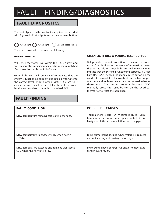## FAULT FINDING/DIAGNOSTICS

## **FAULT DIAGNOSTICS**

The control panel on the front of the appliance is provided with 2 green indicator lights and a manual reset button.

(Green light)  $\bigcap$  (Green light)  $\bigoplus$  (manual reset button)

These are provided to indicate the following:-

#### **GREEN LIGHT NO.1**

Will sense the water level within the F & F cistern and will prevent the immersion heaters from being switched 'ON' when the unit is not full of water.

Green light No.1 will remain 'ON' to indicate that the system is functioning correctly and is filled with water to the correct level. If both Green lights 1 & 2 are 'OFF' check the water level in the F & E cistern. If the water level is correct check the unit is switched 'ON'.

### **GREEN LIGHT NO.2 & MANUAL RESET BUTTON**

Will provide overheat protection to prevent the stored water from boiling in the event of immersion heater thermostat failure. Green light No.2 will remain 'ON' to indicate that the system is functioning correctly. If Green light No.2 is 'OFF' check the manual reset button on the overheat thermostat. If the overheat button has popped out check and replace as necessary the immersion heater thermostats. The thermostats must be set at  $77^{\circ}$ C. Manually press the reset button on the overheat thermostat to reset the appliance.

## **FAULT FINDING**

| <b>FAULT CONDITION</b>                         | <b>POSSIBLE CAUSES</b>                                                                                                                                    |  |  |  |  |
|------------------------------------------------|-----------------------------------------------------------------------------------------------------------------------------------------------------------|--|--|--|--|
| DHW temperature remains cold exiting the taps. | Thermal store is cold - DHW pump is stuck - DHW<br>temperature sensor or pump speed control PCB is<br>faulty - too little or too much flow from the pipe. |  |  |  |  |
| DHW temperature fluctuates wildly when flow is | DHW pump keeps sticking when voltage is reduced                                                                                                           |  |  |  |  |
| steady.                                        | and not starting until voltage is too high.                                                                                                               |  |  |  |  |
| DHW temperature exceeds and remains well above | DHW pump speed control PCB and/or temperature                                                                                                             |  |  |  |  |
| $60^{\circ}$ C when the flow rate is low.      | sensor is/are faulty.                                                                                                                                     |  |  |  |  |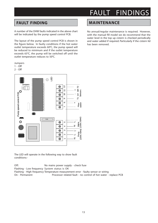## FAULT FINDINGS

## **FAULT FINDING**

A number of the DHW faults indicated in the above chart will be indicated by the pump speed control PCB.

The layout of the pump speed control PCB is shown in the figure below. In faulty conditions if the hot water outlet temperature exceeds  $60^{\circ}$ C, the pump speed will be reduced to minimum and if the outlet temperature exceeds 65°C, the pump will be switched off until the outlet temperature reduces to 50 $^{\circ}$ C.



- 1 Off
- 2 Off



The LED will operate in the following way to show fault conditions:-

Off: No mains power supply - check fuse Flashing - Low frequency System status is OK Flashing - High frequency Temperature measurement error - faulty sensor or wiring On - Permanent Processor related fault - no control of hot water - replace PCB

### **MAINTENANCE**

No annual/regular maintenance is required. However, with the manual fill model we do recommend that the water level in the top up cistern is checked periodically and water added if required. Particularly if the cistern lid has been removed.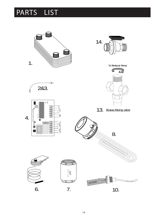## PARTS LIST

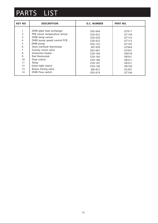## PARTS LIST

| <b>KEY NO</b>  | <b>DESCRIPTION</b>            | <b>G.C. NUMBER</b> | <b>PART NO.</b> |
|----------------|-------------------------------|--------------------|-----------------|
|                |                               |                    |                 |
|                | DHW plate heat exchanger      | E05-664            | GT017           |
| $\overline{2}$ | PHE return temperature sensor | E26-022            | GT149           |
| 3              | DHW temp sensor               | E26-024            | GT153           |
| 4              | DHW pump speed control PCB    | E26-023            | GT152           |
| 5              | DHW pump                      | E05-723            | GT105           |
| 6              | Store overheat thermostat     | 397-978            | GT064           |
| 7              | Gravity check valve           | E05-681            | GT041           |
| 8              | Immersion heater              | E39-184            | XB078           |
| 9              | Rod thermostat                | E39-185            | XB501           |
| 10             | Float switch                  | E39-186            | XB251           |
| 11             | Relay                         | E39-187            | XB321           |
| 12             | Green light (neon)            | E39-190            | XB100           |
| 13             | Brawa mixing valve            | 385-872            | XC007           |
| 14             | DHW Flow switch               | E05-674            | GT106           |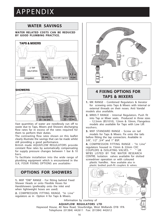## APPENDIX

## **WATER SAVINGS**

#### **WATER RELATED COSTS CAN BE REDUCED BY GOOD PLUMBING PRACTICE.**



Vast quantities of water are needlessly run off to waste due to Taps, Mixers and Showers discharging flow rates far in excess of the rates required for them to perform their duties.

The contrasting flow rates shown on this leaflet clearly illustrate the savings that can be made whilst still providing a good performance.

British made AQUAFLOW REGULATORS provide constant flow rates by automatically compensating for supply pressure changes between 1 bar & 10 bars.

To facilitate installation into the wide range of plumbing equipment which is encountered in the U.K, FOUR FIXING OPTIONS are available:-

## **OPTIONS FOR SHOWERS**

**1.** MXF "DW" RANGE - For fitting behind Fixed Shower Heads or onto Flexible Hoses for Handshowers (preferably onto the inlet end when lightweight hoses are used).

**2.** COMPRESSION FITTING RANGE. "In Line" regulators as in Option 4 for Taps & Mixers.



## **4 FIXING OPTIONS FOR TAPS & MIXERS**

**1.** MK RANGE - Combined Regulators & Aerator for screwing onto Taps & Mixers with internal or external threads on their noses. Anti Vandal models also available.

**2.** MR05-T RANGE - Internal Regulators. Push fit into Tap or Mixer seats. Produced in three sizes - 12.5mm (BS1010), 12mm & 10mm, Flangeless models also available for Taps with Low Lift washers.

**3.** MXF STANDARD RANGE - Screw on tail models for Taps & Mixers. Fix onto the tails before fitting the tap connectors. Available in 3/8", 1/2" ,3/4" and 1" BSP.

**4.** COMPRESSION FITTING RANGE - "In Line" regulators housed in 15mm & 22mm CXC COUPLERS & ISOLATING VALVES. " " UK WFBS LISTED BY THE WATER RESEARCH CENTRE. Isolation valves available for slotted screwdriver operation or with coloured

plastic handles. Now available also in plastic bodied push-fit couplers & valves.



Information by courtesy of **AQUAFLOW REGULATORS LTD** Haywood House, 40 New Road, Stourbridge, West Midlands DY8 1PA Telephone (01384) 442611 Fax: (01384) 442612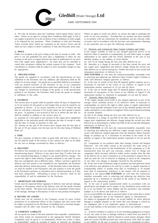

AMD. SEPTEMBER 1994

**1.** We only do business upon the Conditions which appear below and no other. Unless we so agree in writing these Conditions shall apply in full to any supply of goods by us to the exclusion of any Conditions or terms sought to be imposed by any purchaser. These Conditions of Sale and Warranty Terms override those which are contained on the Invoice Forms and all Sales are now subject to these Conditions of Sale and Warranty terms only.

#### **2. PRICE**

Orders are accepted at the price ruling at the date of receipt of order , this price is our last published list price plus a supplement to allow for any increase in the price of copper between the dates of publication of our price lists ("the copper price supplement"). An order may not be cancelled or varied after acceptance without the written consent of the company. Such cancellation or variation shall be subject to such reasonable charges as may be appropriate.

#### **3. SPECIFICATION**

The goods are supplied in accordance with the Specifications (if any) submitted to the Purchaser and any additions and alterations shall be the subject of an extra charge. Any goods not so specified shall be in accordance with our printed literature or the literature of any of our component suppliers (subject to any modifications made since publication). If we adopt any changes in construction or design of the goods, or in the specification printed in our literature, the Purchaser shall accept the goods so changed in fulfilment of the order.

#### **4. PAYMENT**

The invoice price of goods shall be payable within 30 days of despatch by us of our invoice for the goods or such longer time as may be stated by our quotation or invoice. If we receive payment in full on or before the due date we will allow a discount of 5% except where we have quoted a special net price. If payment is not received in full on or before the due date we shall be entitled in addition to the invoice price to:

(i) payment of a sum equal to any increase in the copper price supplement applicable to the particular goods sold between the date of receipt of order and the date of receipt of payment in full; and

(ii) interest on any part of the invoice price unpaid after the due date at the rate of 3% per annum over the base rate for the time being of Midland Bank plc.

#### **5. TIME**

We give estimates of delivery dates in good faith and time of delivery is not nor shall be made of the essence of any contract nor shall we be liable for any loss or damage occasioned by delay in delivery.

#### **6. DELIVERY**

We deliver free normally by our own vehicles within 25 miles of any of our manufacturing depots. Delivery to any place more than 25 miles from one of our manufacturing depots is subject to our quoted delivery charges. We reserve the right to make delivery of goods contained in one order by more than one consignment and at different times. Where a period is agreed for delivery and such period is not extended by our Agreement, the Purchaser shall take delivery within that period. If the Purchaser fails to take delivery, we shall be entitled at the Purchaser's risk and expense to store the goods at the Purchaser's premises or elsewhere and to demand payment as if they had been despatched. Offloading at point of delivery shall be the responsibility of and be undertaken by the Purchaser.

#### **7. SHORTAGES OR DAMAGE**

Goods must be inspected before signature of delivery note and any damage, shortage or discrepancy noted on the delivery note and the goods returned on the same vehicle. The buyer must also give us immediate written notice of the damage, shortage or discrepancy so that we may prompt investigation.

#### **8. RETURN OF GOODS**

Goods may not be returned to the Company except by prior written permission of an authorised officer of the Company and such return shall be subject to payment by the Purchaser of handling and re-stocking charges, transport and all other costs incurred by the Company.

#### **9. COMPANY LIABILITY**

All our goods are made of the best materials from reputable manufacturers and where stated are manufactured to the appropriate British Standard. Complaints must be given to us immediately, before any action is taken, as responsibility cannot be accepted if repairs or renewals are attempted

Where we agree to rectify any defect, we reserve the right to undertake the work on our own premises. Provided that our product has been installed in accordance with any instructions for installation and any relevant codes of pratice and in accordance with the bye-laws and requirements obtaining in any particular area we give the following warranties:

#### (1) Domestic and Commercial Open Vented Cylinders and Tanks.

If the copper cylinder or tank or any integral pipework proves to be defective either in materials or workmanship, we will either repair or supply replacement at our option with the closest substitute in the case of any obsolete product to any address in Great Britain.

(a) free of all charge during the first year after delivery by us.

(b) thereafter at a charge of one-tenth of the then current list price and any copper price supplement and delivery charge during the second year after delivery by us and increasing by a further one-tenth on the second and subsequent anniversary of delivery by us.

**AND FURTHER** we will meet the contractors/installers reasonable costs in removing and replacing any defective Open Vented Copper Cylinder or Tank with defective integral pipework as follows:

(i) in the case of vessels of less than 80 imperial gallons capacity up to a maximum of one-half of the extent of our liability in regard to the replacement product expressed in (1) (a) and (b) above

ii) in the case of vessels larger than 79 imperial gallons capacity up to a maximum of one-quarter of the extent of our liability in regard to the replacement product as expressed in paragraphs (1) (a) and (b) above.

#### (2) Domestic Mains Fed Products

 If the copper storage vessel itself or any integral pipework as part of the storage vessel assembly proves to be defective either in materials or workmanship, we reserve the right to either repair or supply replacements or the closest possible substitute in the case of any obsolete product and will collect and deliver to any address in England, Wales and Scotland (excluding all Scottish Islands).

(a) free of all charge during the first year after delivery by us.

(b) thereafter at a charge of one-fifth of the then current list price or any copper price supplement and delivery charge during the second year after delivery by us increasing by a further one-fifth on the second and subsequent anniversary of delivery by us.

**AND FURTHER** we will meet the contractors/installers reasonable costs in removing and replacing any defective copper storage vessel or storage vessel with defective integral pipework from the Domestic Mains Pressure Range of products up to a maximum of one-third of the extent of our liability in regard to the replacement product expressed in (2) (a) and (b) above.

(3) Components of our products other than Storage Vessels and Integral Pipework. We will either extend to the purchaser the same terms of warranty as we are given by the manufacturer of the component or if the manufacturer does not give any warranty, replace free of charge any component which becomes defective within twelve months after the date of the delivery by us and is returned to us at the purchaser's expense but we shall not meet the cost of removal or shipping or return of the component or any other cost charges or damages incurred by the purchaser.

(4) In the case of the Gulfstream range of products any heat generator found to be defective and admitted to be such by us either as regards materials or workmanship within 12 months from date of installation or 18 months from date of manufacture whichever is the sooner, will be repaired or replaced at our option.**AND FURTHER** we will meet the contractors/ installers reasonable costs in removing and replacing any defective heat generator up to a maximum of one-third of the extent of our liability in regard to the replacement product.

(5) In the case of goods manufactured solely in accordance with our specification and designs and in respect of any installation work carried out by or on our behalf, our entire liability and the purchaser's sole remedies (subject to (1-4) above) and shall be as follows:

(a) we accept liability for death or personal injury to the extent that it results from our negligence that of our employees agents or subcontractors.

(b) subject to paragraph (d) below, we accept liability for direct physical damage to tangible property to the extent that such damage is caused by our negligence that of our employees agents or subcontractors.

(c) our total liability to the purchaser over and above any liability to replace under

 (1 - 4) above (whether in contract or in tort including negligence) in respect of any one cause of loss or damage claimed to result from any breach of our obligations hereunder, shall be limited to actual money damages which shall not exceed £20,000 provided that such monetary limit shall not apply to any liability on the part of ourselves referred to in paragraph (a) above.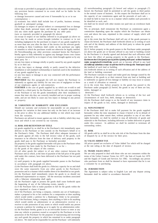(d) except as provided in paragraph (a) above but otherwise notwithstanding any provision herein contained in no event shall we be liable for the following loss

or damage howsoever caused and even if foreseeable by us or in our contemplation :-

(i) economic loss which shall include loss of profits, business revenue, goodwill or anticipated savings.

(ii) damages in respect of special indirect or consequential loss or damage (other than death, personal injury and damage to tangible property).

(iii) any claim made against the purchaser by any other party (save as expressly provided in paragraph (b) above).

(e) except in respect of our liability referred to in paragraph (a) above no claim may be made or action brought (whether in contract or in tort including negligence) by the purchaser in respect of any goods supplied by us more than one year after the date of the invoice for the relevant goods. (f) nothing in these Conditions shall confer on the purchaser any rights or remedies to which the purchaser would not otherwise be legally entitled. (6) Notwithstanding any other provision contained herein the Purchaser's hereby agree to fully indemnify us against any damages losses costs claims or expenses incurred by us in respect of any claim brought against us by any third party for :-

(a) any loss injury or damage wholly or partly caused by any goods supplied by us or their use.

(b) any loss injury or damage wholly or partly caused by the defective installation or sub-standard workmanship or materials used in the installation of any goods supplied by us.

(c) any loss injury or damage in any way connected with the performance of this contract.

**PROVIDED** that this paragraph (6) will not require the Purchaser to indemnify us against any liability for our own acts of negligence or those of our employees agents or sub-contractors.

**FURTHER** in the case of goods supplied by us which are re-sold to and installed by a third party by the Purchaser it will be the sole responsibility of the Purchaser to test the goods immediately after their installation to ensure that inter alia they are correctly installed and are in proper working order, and are not likely to cause any loss injury or damage to any person or property.

#### **10. VARIATION OF WARRANTY AND EXCLUSION**

Should our warranty and exclusion be unacceptable we are prepared to negotiate for variation in their terms but only on the basis of an increase in the price to allow for any additional liability or risk which may result from the variation.

Purchasers are advised to insure against any risk or liability which they may incur and which is not covered by our warranty.

#### **11. RISK AND RETENTION OF TITLE**

(a) goods supplied by us shall be at the Purchaser's risk immediately upon delivery to the Purchaser or into custody on the Purchaser's behalf or to the Purchaser's Order. The Purchaser shall effect adequate insurance of the goods against all risks to the full invoice value of the goods, such insurance to be effective from the time of delivery until property in the goods shall pass to the Purchaser as herinafter provided.

(b) property in the goods supplied hereunder will pass to the Purchaser when full payment has been made by the Purchaser to us for :-

(i) the goods of the subject of this contract.

(ii) all other goods the subject to of any other contract between the Purchaser and us which, at the time of payment of the full price of the goods sold under this contract, have been delivered to the Purchaser but not paid for in full.

(c) until property in the goods supplied hereunder passes to the Purchaser in accordance with paragraph (2) above.

(i) the Purchaser shall hold the goods in a fiduciary capacity for us and shall store the same separately from any other goods in the Purchaser's possession and in a manner which enables them to be identified as our goods. (ii) the Purchaser shall immediately return the goods to us should our authorised representative so request. All the necessary incidents associated with a fiduciary relationship shall apply.

(d) the Purchaser's right to possess the goods shall cease forthwith upon the happening of any of the following events, namely :-

(i) if the Purchaser fails to make payment in full for the goods within the time stipulated in clause 4 hereof.

(ii) if the Purchaser, not being a company, commits any act of bankruptcy, makes a proposal to his or her creditors for a compromise or does anything which would entitle a petition for a Bankruptcy Order to be presented.

(iii) if the Purchaser, being a company, does anything or fails to do anything which would entitle an adminstrator or an adminstrative receiver or a receiver to take possession of any assets or which would entitle any person to present a petition for winding up or to apply for an adminstration order. (e) the Purchaser hereby grants to us an irrevocable licence to enter at any time any vehicle or premises owned or occupied by the Purchaser or in the possession of the Purchaser for the purposes of repossessing and recovering any such goods the property in which has remained in us under paragraph (2) above. We shall not be responsible for and the Purchaser will indemnify

(f) notwithstanding paragraph (3) hereof and subject to paragraph (7) hereof, the Purchaser shall be permitted to sell the goods to third parties in the normal course of business. In this respect the Purchaser shall act in the capacity of our commission agent and the proceeds of such sale :-

(i) shall be held in trust for us in a manner which enables such proceeds to be identified as such, and :

(ii) shall not be mixed with other monies nor paid into an overdrawn bank account.

We, as principal, shall remunerate the Purchaser as commission agent a commission depending upon the surplus which the Purchaser can obtain over and above the sum, stipulated in this contract of supply which will satisfy us.

(g) in the event that the Purchaser shall sell any of the goods pursuant to clause (6) hereof, the Purchaser shall forthwith inform us in writing of such sale and of the identity and address of the third party to whom the goods have been sold.

(h) if, before property in the goods passes to the Purchaser under paragraph (2) above the goods are or become affixed to any land or building owned by the Purchaser it is hereby agreed and declared that such affixation shall not have the effect of passing property in the goods to the Purchaser. Fi) rthes une otheatif, the fored property path the of chedings in a the passi twith neu Puna hasied injury parsugraph and the product are or become affixed to any land (iii) builkeling! (webcetheary or steps of wrped vleyt this the Urchhase goods Promotheases in shall the landlord of such land or building.

(iii) forthwith inform us in writing of such affixation and of the address of the land or building concerned.

The Purchaser warrants to repair and make good any damage caused by the affixation of the goods to or their removal from any land or building and to indemnify us against all loss damage or liability we may incur or sustain as a result of affixation or removal.

(i) in the event that, before property in the goods has passed to the Purchaser under paragraph (2) hereof, the goods or any of them are lost, stolen, damaged or

destroyed :-

(i) the Purchaser shall forthwith inform us in writing of the fact and circumstances of such loss, theft, damage or destruction.

(ii) the Purchaser shall assign to us the benefit of any insurance claim in respect of the goods so lost, stolen, damaged or destroyed.

#### **12. NON-PAYMENT**

If the Purchaser shall fail to make full payment for the goods supplied hereunder within the time stipulated in clause 4 hereof or be in default of payment for any other reason then, without prejudice to any of our other rights hereunder, we shall be entitled to stop all deliveries of goods and materials to the Purchaser, including deliveries or further deliveries of goods under this contract. In addition we shall be entitled to terminate all outstanding orders.

#### **13. RISK**

All goods sold by us shall be at the sole risk of the Purchaser from the date of despatch by us of the invoice for their price.

#### **14. VALUE ADDED TAX**

All prices quoted are exclusive of Value Added Tax which will be charged at the rate ruling at the date of despatch of invoice.

#### **15. TRADE SALES ONLY**

We are only prepared to deal with those who are not consumers within the terms of the Unfair Contract Terms Act 1977, the Sale of Goods Act 1979 and the Supply of Goods and Services Act 1982. Accordingly any person who purchases from us shall be deemed to have represented that he is not a consumer by so purchasing.

#### **16. JURISDICTION**

The Agreement is subject soley to English Law and any dispute arising hereunder shall be settled in accordance therewith.